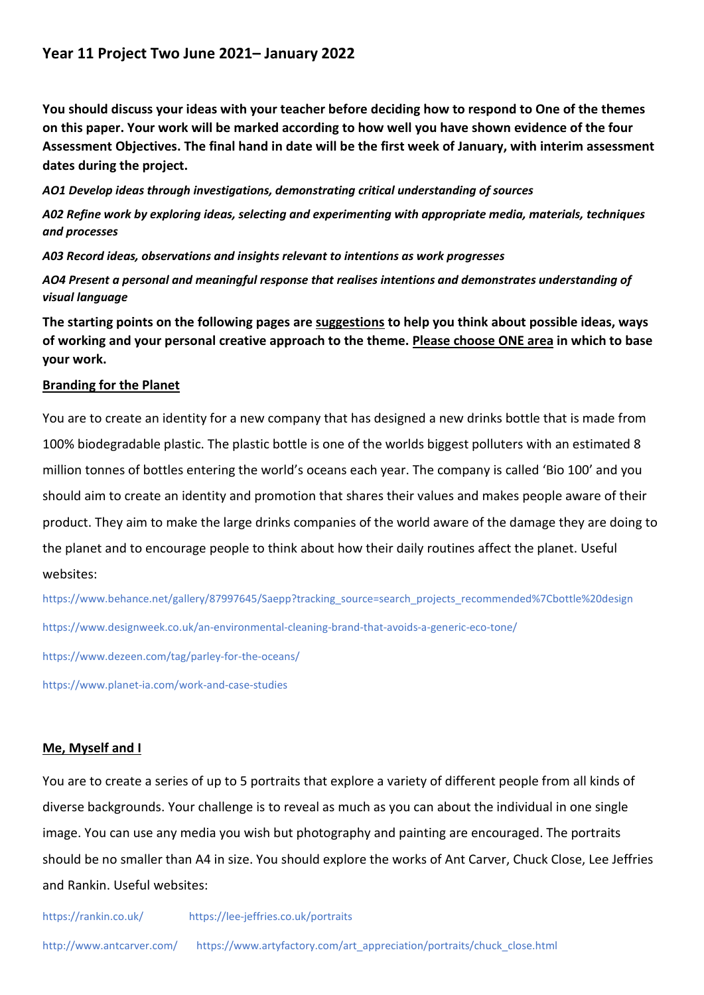# **Year 11 Project Two June 2021– January 2022**

**You should discuss your ideas with your teacher before deciding how to respond to One of the themes on this paper. Your work will be marked according to how well you have shown evidence of the four Assessment Objectives. The final hand in date will be the first week of January, with interim assessment dates during the project.**

*AO1 Develop ideas through investigations, demonstrating critical understanding of sources*

*A02 Refine work by exploring ideas, selecting and experimenting with appropriate media, materials, techniques and processes*

*A03 Record ideas, observations and insights relevant to intentions as work progresses*

*AO4 Present a personal and meaningful response that realises intentions and demonstrates understanding of visual language*

**The starting points on the following pages are suggestions to help you think about possible ideas, ways of working and your personal creative approach to the theme. Please choose ONE area in which to base your work.**

## **Branding for the Planet**

You are to create an identity for a new company that has designed a new drinks bottle that is made from 100% biodegradable plastic. The plastic bottle is one of the worlds biggest polluters with an estimated 8 million tonnes of bottles entering the world's oceans each year. The company is called 'Bio 100' and you should aim to create an identity and promotion that shares their values and makes people aware of their product. They aim to make the large drinks companies of the world aware of the damage they are doing to the planet and to encourage people to think about how their daily routines affect the planet. Useful websites:

https://www.behance.net/gallery/87997645/Saepp?tracking\_source=search\_projects\_recommended%7Cbottle%20design <https://www.designweek.co.uk/an-environmental-cleaning-brand-that-avoids-a-generic-eco-tone/>

<https://www.dezeen.com/tag/parley-for-the-oceans/>

https://www.planet-ia.com/work-and-case-studies

### **Me, Myself and I**

You are to create a series of up to 5 portraits that explore a variety of different people from all kinds of diverse backgrounds. Your challenge is to reveal as much as you can about the individual in one single image. You can use any media you wish but photography and painting are encouraged. The portraits should be no smaller than A4 in size. You should explore the works of Ant Carver, Chuck Close, Lee Jeffries and Rankin. Useful websites: